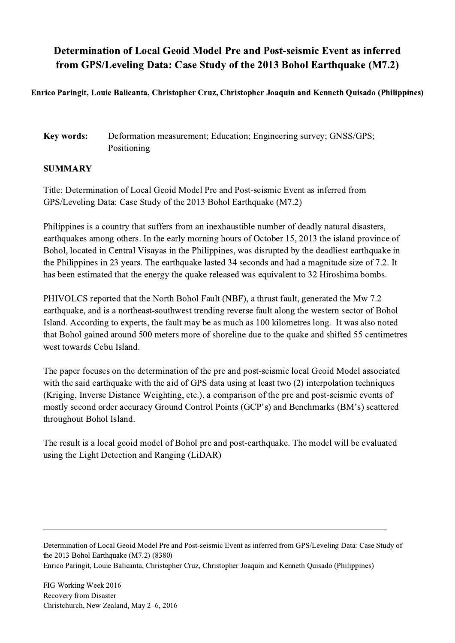## Determination of Local Geoid Model Pre and Post-seismic Event as inferred from GPS/Leveling Data: Case Study of the 2013 Bohol Earthquake (M7.2)

Enrico Paringit, Louie Balicanta, Christopher Cruz, Christopher Joaquin and Kenneth Quisado (Philippines)

Key words: Deformation measurement; Education; Engineering survey; GNSS/GPS; Positioning

## SUMMARY

Title: Determination of Local Geoid Model Pre and Post-seismic Event as inferred from GPS/Leveling Data: Case Study of the 2013 Bohol Earthquake (M7.2)

Philippines is a country that suffers from an inexhaustible number of deadly natural disasters, earthquakes among others. In the early morning hours of October 15, 2013 the island province of Bohol, located in Central Visayas in the Philippines, was disrupted by the deadliest earthquake in the Philippines in 23 years. The earthquake lasted 34 seconds and had a magnitude size of 7.2. It has been estimated that the energy the quake released was equivalent to 32 Hiroshima bombs.

PHIVOLCS reported that the North Bohol Fault (NBF), a thrust fault, generated the Mw 7.2 earthquake, and is a northeast-southwest trending reverse fault along the western sector of Bohol Island. According to experts, the fault may be as much as 100 kilometres long. It was also noted that Bohol gained around 500 meters more of shoreline due to the quake and shifted 55 centimetres west towards Cebu Island.

The paper focuses on the determination of the pre and post-seismic local Geoid Model associated with the said earthquake with the aid of GPS data using at least two (2) interpolation techniques (Kriging, Inverse Distance Weighting, etc.), a comparison of the pre and post-seismic events of mostly second order accuracy Ground Control Points (GCP's) and Benchmarks (BM's) scattered throughout Bohol Island.

The result is a local geoid model of Bohol pre and post-earthquake. The model will be evaluated using the Light Detection and Ranging (LiDAR)

Determination of Local Geoid Model Pre and Post-seismic Event as inferred from GPS/Leveling Data: Case Study of the 2013 Bohol Earthquake (M7.2) (8380) Enrico Paringit, Louie Balicanta, Christopher Cruz, Christopher Joaquin and Kenneth Quisado (Philippines)

 $\mathcal{L}_\mathcal{L} = \{ \mathcal{L}_\mathcal{L} = \{ \mathcal{L}_\mathcal{L} = \{ \mathcal{L}_\mathcal{L} = \{ \mathcal{L}_\mathcal{L} = \{ \mathcal{L}_\mathcal{L} = \{ \mathcal{L}_\mathcal{L} = \{ \mathcal{L}_\mathcal{L} = \{ \mathcal{L}_\mathcal{L} = \{ \mathcal{L}_\mathcal{L} = \{ \mathcal{L}_\mathcal{L} = \{ \mathcal{L}_\mathcal{L} = \{ \mathcal{L}_\mathcal{L} = \{ \mathcal{L}_\mathcal{L} = \{ \mathcal{L}_\mathcal{$ 

FIG Working Week 2016 Recovery from Disaster Christchurch, New Zealand, May 2–6, 2016